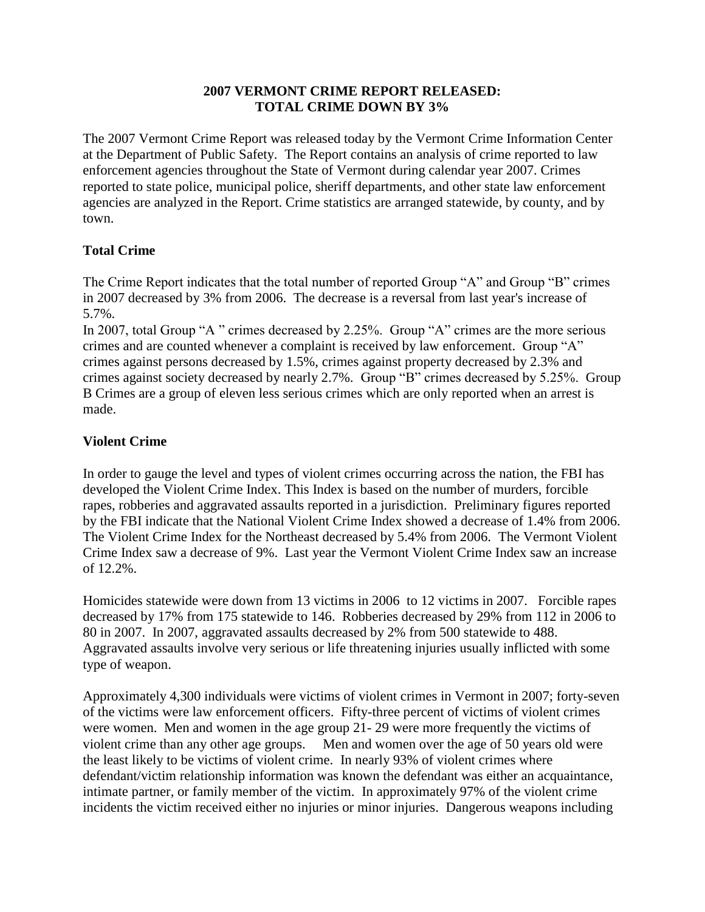#### **2007 VERMONT CRIME REPORT RELEASED: TOTAL CRIME DOWN BY 3%**

The 2007 Vermont Crime Report was released today by the Vermont Crime Information Center at the Department of Public Safety. The Report contains an analysis of crime reported to law enforcement agencies throughout the State of Vermont during calendar year 2007. Crimes reported to state police, municipal police, sheriff departments, and other state law enforcement agencies are analyzed in the Report. Crime statistics are arranged statewide, by county, and by town.

### **Total Crime**

The Crime Report indicates that the total number of reported Group "A" and Group "B" crimes in 2007 decreased by 3% from 2006. The decrease is a reversal from last year's increase of 5.7%.

In 2007, total Group "A " crimes decreased by 2.25%. Group "A" crimes are the more serious crimes and are counted whenever a complaint is received by law enforcement. Group "A" crimes against persons decreased by 1.5%, crimes against property decreased by 2.3% and crimes against society decreased by nearly 2.7%. Group "B" crimes decreased by 5.25%. Group B Crimes are a group of eleven less serious crimes which are only reported when an arrest is made.

## **Violent Crime**

In order to gauge the level and types of violent crimes occurring across the nation, the FBI has developed the Violent Crime Index. This Index is based on the number of murders, forcible rapes, robberies and aggravated assaults reported in a jurisdiction. Preliminary figures reported by the FBI indicate that the National Violent Crime Index showed a decrease of 1.4% from 2006. The Violent Crime Index for the Northeast decreased by 5.4% from 2006. The Vermont Violent Crime Index saw a decrease of 9%. Last year the Vermont Violent Crime Index saw an increase of 12.2%.

Homicides statewide were down from 13 victims in 2006 to 12 victims in 2007. Forcible rapes decreased by 17% from 175 statewide to 146. Robberies decreased by 29% from 112 in 2006 to 80 in 2007. In 2007, aggravated assaults decreased by 2% from 500 statewide to 488. Aggravated assaults involve very serious or life threatening injuries usually inflicted with some type of weapon.

Approximately 4,300 individuals were victims of violent crimes in Vermont in 2007; forty-seven of the victims were law enforcement officers. Fifty-three percent of victims of violent crimes were women. Men and women in the age group 21- 29 were more frequently the victims of violent crime than any other age groups. Men and women over the age of 50 years old were the least likely to be victims of violent crime. In nearly 93% of violent crimes where defendant/victim relationship information was known the defendant was either an acquaintance, intimate partner, or family member of the victim. In approximately 97% of the violent crime incidents the victim received either no injuries or minor injuries. Dangerous weapons including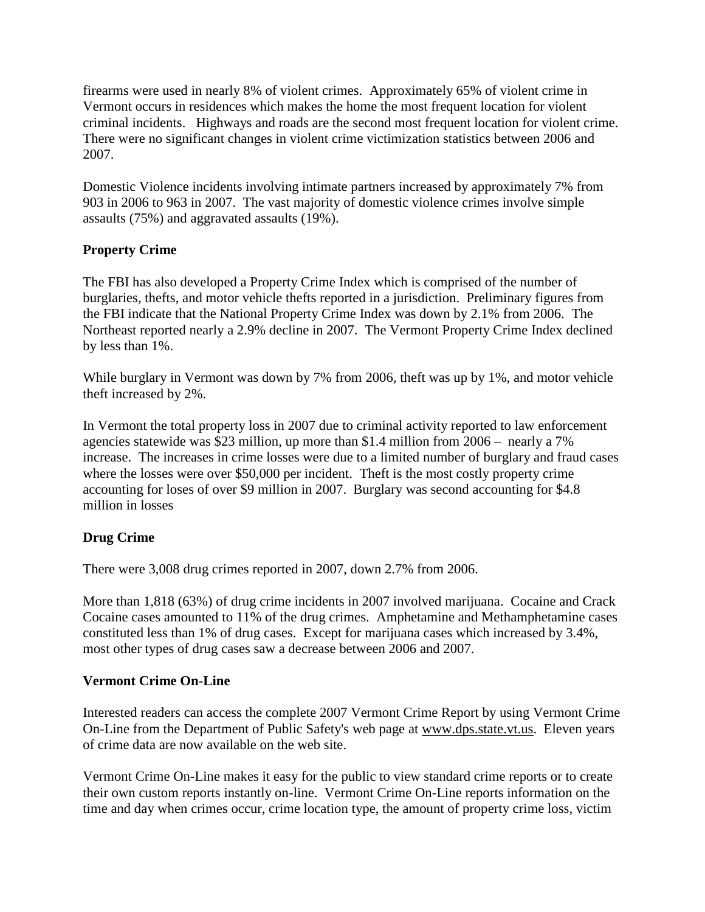firearms were used in nearly 8% of violent crimes. Approximately 65% of violent crime in Vermont occurs in residences which makes the home the most frequent location for violent criminal incidents. Highways and roads are the second most frequent location for violent crime. There were no significant changes in violent crime victimization statistics between 2006 and 2007.

Domestic Violence incidents involving intimate partners increased by approximately 7% from 903 in 2006 to 963 in 2007. The vast majority of domestic violence crimes involve simple assaults (75%) and aggravated assaults (19%).

## **Property Crime**

The FBI has also developed a Property Crime Index which is comprised of the number of burglaries, thefts, and motor vehicle thefts reported in a jurisdiction. Preliminary figures from the FBI indicate that the National Property Crime Index was down by 2.1% from 2006. The Northeast reported nearly a 2.9% decline in 2007. The Vermont Property Crime Index declined by less than 1%.

While burglary in Vermont was down by 7% from 2006, theft was up by 1%, and motor vehicle theft increased by 2%.

In Vermont the total property loss in 2007 due to criminal activity reported to law enforcement agencies statewide was \$23 million, up more than \$1.4 million from 2006 – nearly a 7% increase. The increases in crime losses were due to a limited number of burglary and fraud cases where the losses were over \$50,000 per incident. The f is the most costly property crime accounting for loses of over \$9 million in 2007. Burglary was second accounting for \$4.8 million in losses

# **Drug Crime**

There were 3,008 drug crimes reported in 2007, down 2.7% from 2006.

More than 1,818 (63%) of drug crime incidents in 2007 involved marijuana. Cocaine and Crack Cocaine cases amounted to 11% of the drug crimes. Amphetamine and Methamphetamine cases constituted less than 1% of drug cases. Except for marijuana cases which increased by 3.4%, most other types of drug cases saw a decrease between 2006 and 2007.

### **Vermont Crime On-Line**

Interested readers can access the complete 2007 Vermont Crime Report by using Vermont Crime On-Line from the Department of Public Safety's web page at www.dps.state.vt.us. Eleven years of crime data are now available on the web site.

Vermont Crime On-Line makes it easy for the public to view standard crime reports or to create their own custom reports instantly on-line. Vermont Crime On-Line reports information on the time and day when crimes occur, crime location type, the amount of property crime loss, victim